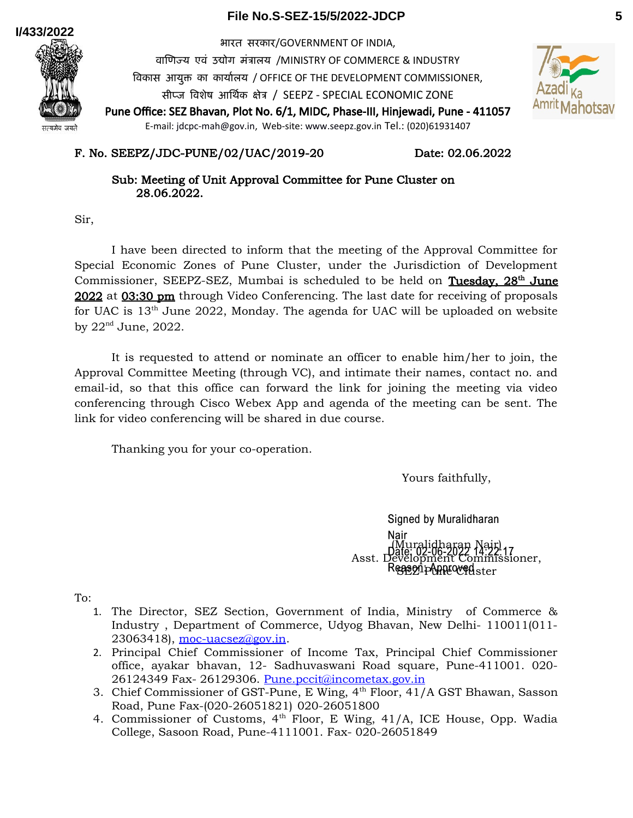## **File No.S-SEZ-15/5/2022-JDCP**



भारत सरकार/GOVERNMENT OF INDIA,

वभाणणिज्य एवव उदद्योग मवतभालय /MINISTRY OF COMMERCE & INDUSTRY

विकास आयुक्त का कार्यालय / OFFICE OF THE DEVELOPMENT COMMISSIONER,

सीप्ज विशेष आर्थिक क्षेत्र / SEEPZ - SPECIAL ECONOMIC ZONE



Pune Office: SEZ Bhavan, Plot No. 6/1, MIDC, Phase-III, Hinjewadi, Pune - 411057 E-mail: jdcpc-mah@gov.in, Web-site: www.seepz.gov.in Tel.: (020)61931407

## F. No. SEEPZ/JDC-PUNE/02/UAC/2019-20 Date: 02.06.2022

Sub: Meeting of Unit Approval Committee for Pune Cluster on 28.06.2022.

Sir,

I have been directed to inform that the meeting of the Approval Committee for Special Economic Zones of Pune Cluster, under the Jurisdiction of Development Commissioner, SEEPZ-SEZ, Mumbai is scheduled to be held on Tuesday, 28<sup>th</sup> June 2022 at 03:30 pm through Video Conferencing. The last date for receiving of proposals for UAC is  $13<sup>th</sup>$  June 2022, Monday. The agenda for UAC will be uploaded on website by 22nd June, 2022.

It is requested to attend or nominate an officer to enable him/her to join, the Approval Committee Meeting (through VC), and intimate their names, contact no. and email-id, so that this office can forward the link for joining the meeting via video conferencing through Cisco Webex App and agenda of the meeting can be sent. The link for video conferencing will be shared in due course.

Thanking you for your co-operation.

Yours faithfully,

Signed by Muralidharan Nair (Muralidharan Nair) Asst. Development Commissioner, SEZ-PUNe Cluster

To:

- 1. The Director, SEZ Section, Government of India, Ministry of Commerce & Industry , Department of Commerce, Udyog Bhavan, New Delhi- 110011(011-  $23063418$ , [moc-uacsez@gov.in.](mailto:moc-uacsez@gov.in)
- 2. Principal Chief Commissioner of Income Tax, Principal Chief Commissioner office, ayakar bhavan, 12- Sadhuvaswani Road square, Pune-411001. 020- 26124349 Fax- 26129306. [Pune.pccit@incometax.gov.in](mailto:Pune.pccit@incometax.gov.in)
- 3. Chief Commissioner of GST-Pune, E Wing, 4<sup>th</sup> Floor, 41/A GST Bhawan, Sasson Road, Pune Fax-(020-26051821) 020-26051800
- 4. Commissioner of Customs, 4<sup>th</sup> Floor, E Wing, 41/A, ICE House, Opp. Wadia College, Sasoon Road, Pune-4111001. Fax- 020-26051849